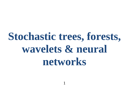# **Stochastic trees, forests, wavelets & neural networks**

1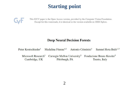# **Starting point**



This ICCV paper is the Open Access version, provided by the Computer Vision Foundation. Except for this watermark, it is identical to the version available on IEEE Xplore.

#### **Deep Neural Decision Forests**

Madalina Fiterau<sup>\*,2</sup> Antonio Criminisi<sup>1</sup> Samuel Rota Bulò<sup>1,3</sup> Peter Kontschieder<sup>1</sup> Microsoft Research<sup>1</sup> Carnegie Mellon University<sup>2</sup> Fondazione Bruno Kessler<sup>3</sup> Pittsburgh, PA Cambridge, UK Trento, Italy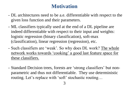## **Motivation**

- DL architectures need to be a.e. differentiable with respect to the given loss function and their parameters.
- ML classifiers typically used at the end of a DL pipeline are indeed differentiable with respect to their input and weights: logistic regression (binary classification), soft-max (classification), linear regression (regression), etc.
- Such classifiers are 'weak'. So why does DL work? The whole network works towards 'cooking' a good last feature space for these classifiers.
- Standard Decision trees, forests are 'strong classifiers' but nonparametric and thus not differentiable. They use deterministic routing. Let's replace with 'soft' stochastic routing…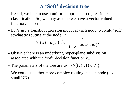## **A 'Soft' decision tree**

- Recall, we like to use a uniform approach to regression / classification. So, we may assume we have a vector valued function/dataset.
- Let's use a logistic regression model at each node to create 'soft' stochastic routing at the node  $\Omega$

1. The system of the following equation:

\n
$$
h_{\Omega}(x) = h_{\theta(\Omega)}(x) := \frac{1}{1 + e^{-\left(\frac{\beta(\Omega)}{x} + \beta_0(\Omega)\right)}}.
$$

- Observe there is an underlying hyper-plane subdivision associated with the 'soft' decision function  $h_{\Omega}$ .
- The parameters of the tree are Solved ion function  $h_{\Omega}$ .<br>  $\Theta = \{ \theta(\Omega) : \Omega \in \mathcal{T} \}$
- We could use other more complex routing at each node (e.g. small NN).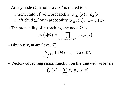- At any node  $\Omega$ , a point  $x \in \mathbb{R}^n$  is routed to a

t any node  $\Omega$ , a point  $x \in \mathbb{R}^n$  is routed to a<br>  $\circ$  right child  $\Omega'$  with probability  $p_{\Omega,\Omega'}(x) := h_{\Omega}(x)$ o right child  $\Omega'$  with probability  $p_{\Omega, \Omega'}(x) := h_{\Omega}(x)$ <br>o left child  $\Omega''$  with probability  $p_{\Omega, \Omega''}(x) := 1 - h_{\Omega}(x)$ 

- The probability of x reaching any node  $\tilde{\Omega}$  is

" with probability 
$$
p_{\Omega, \Omega}
$$
 ( $x$ ) := 1-h $\Omega$   
of  $x$  reaching any node  $\tilde{\Omega}$  is  

$$
p_{\tilde{\Omega}}(x|\Theta) := \prod_{\Omega \text{ is ancestor of } \tilde{\Omega}} p_{\Omega, \Omega'}(x)
$$

- Obviously, at any level  $\mathcal{T}_l$ <br> $\sum p_{\Omega}(x)$ 

$$
\sum_{\Omega \in \mathcal{T}_l} p_\Omega(x|\Theta) = 1, \quad \forall x \in \mathbb{R}^n.
$$

- Vector-valued regression function on the tree with *m* levels

\n
$$
\tilde{f}_{\mathcal{I}}(x) = \sum_{\Omega \in \mathcal{I}_m} \vec{E}_{\Omega} p_{\Omega}(x | \Theta)
$$
\n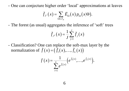- One can conjecture higher order 'local' approximations at leaves

re higher order 'local' approximations  
\n
$$
\tilde{f}_{\mathcal{T}}(x) = \sum_{\Omega \in \mathcal{T}_m} \vec{E}_{\Omega}(x) p_{\Omega}(x | \Theta).
$$

- The forest (as usual) aggregates the inference of 'soft' trees

ggeges the line  

$$
\tilde{f}_{\mathcal{F}}(x) = \frac{1}{J} \sum_{j=1}^{J} \tilde{f}_{j}(x)
$$

- Classification? One can replace the soft-max layer by the normalization of *f* (*x*) =  $(\tilde{f}_1(x), ..., \tilde{f}_L(x)))$  $(x)$ 

$$
\tilde{f}(x) = (\tilde{f}_1(x), \dots, \tilde{f}_L(x))
$$
\n
$$
\overline{f}(x) = \frac{1}{\sum_{i=1}^L e^{\tilde{f}_i(x)}} \left(e^{\tilde{f}_1(x)}, \dots, e^{\tilde{f}_L(x)}\right).
$$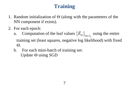# **Training**

- 1. Random initialization of  $\Theta$  (along with the parameters of the NN component if exists).
- 2. For each epoch:
	- a. Computation of the leaf values  $\{\vec{E}_{\Omega}\}_c$  $\left. \vec{E}_{\Omega} \right\}_{\Omega \in \mathcal{I}_m}$  using the entire training set (least squares, negative log likelihood) with fixed  $\Theta$ .
	- b. For each mini-batch of training set: Update  $\Theta$  using SGD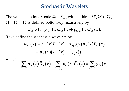### **Stochastic Wavelets**

The value at an inner node  $\Omega \in \mathcal{T}_{l-1}$ , with children  $\Omega', \Omega'' \in \mathcal{T}_{l}$ , an inner node  $\Omega \in \mathcal{T}_{l-1}$ , with children  $\Omega', \Omega'' \in \mathcal{T}_{l}$ <br>is defined bottom-up recursively by<br> $\vec{E}_{\Omega}(x) \coloneqq p_{\Omega'|\Omega}(x) \vec{E}_{\Omega'}(x) + p_{\Omega''|\Omega}(x) \vec{E}_{\Omega''}(x)$ .

$$
\vec{E}_{\Omega}(x) \coloneqq p_{\Omega'|\Omega}(x) \vec{E}_{\Omega'}(x) + p_{\Omega''|\Omega}(x) \vec{E}_{\Omega''}(x).
$$

If we define the stochastic wavelets by

The value at an inner node 
$$
\Sigma z \in \mathcal{Z}_{l-1}
$$
, with chindien  $\Sigma z, \Sigma z \in \mathcal{Z}_{l}$ ,  
\n $\Omega' \cup \Omega'' = \Omega$  is defined bottom-up recursively by  
\n
$$
\vec{E}_{\Omega}(x) := p_{\Omega'|\Omega}(x)\vec{E}_{\Omega'}(x) + p_{\Omega''|\Omega}(x)\vec{E}_{\Omega'}(x).
$$
\nIf we define the stochastic wavelets by  
\n
$$
\psi_{\Omega'}(x) := p_{\Omega'}(x)\vec{E}_{\Omega'}(x) - p_{\Omega'|\Omega}(x)p_{\Omega}(x)\vec{E}_{\Omega}(x)
$$
\n
$$
= p_{\Omega'}(x)(\vec{E}_{\Omega'}(x) - \vec{E}_{\Omega}(x)),
$$
\nwe get  
\n
$$
\sum_{\Omega' \in \mathcal{T}_{l}} p_{\Omega'}(x)\vec{E}_{\Omega'}(x) - \sum_{\Omega \in \mathcal{T}_{l-1}} p_{\Omega}(x)\vec{E}_{\Omega}(x) = \sum_{\Omega' \in \mathcal{T}_{l}} \psi_{\Omega'}(x),
$$

we get

$$
=p_{\Omega'}(x)\big(\tilde{E}_{\Omega'}(x)-\tilde{E}_{\Omega}(x)\big),
$$
  

$$
\sum_{\Omega'\in\mathcal{I}_l}p_{\Omega'}(x)\tilde{E}_{\Omega'}(x)-\sum_{\Omega\in\mathcal{I}_{l-1}}p_{\Omega}(x)\tilde{E}_{\Omega}(x)=\sum_{\Omega'\in\mathcal{I}_l}\psi_{\Omega'}(x),
$$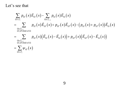#### Let's see that

$$
\begin{split}\ns\text{se that} \\
\sum_{\Omega \in \mathcal{I}_{i}} p_{\Omega'}(x) \vec{E}_{\Omega'}(x) - \sum_{\Omega \in \mathcal{I}_{i-1}} p_{\Omega}(x) \vec{E}_{\Omega}(x) \\
&= \sum_{\substack{\Omega \in \mathcal{I}_{i-1} \\ \Omega', \Omega' \text{child of } \Omega}} p_{\Omega'}(x) \vec{E}_{\Omega'}(x) + p_{\Omega'}(x) \vec{E}_{\Omega'}(x) - (p_{\Omega'}(x) + p_{\Omega'}(x)) \vec{E}_{\Omega}(x) \\
&= \sum_{\substack{\Omega \in \mathcal{I}_{i-1} \\ \Omega', \Omega' \text{child of } \Omega}} p_{\Omega'}(x) (\vec{E}_{\Omega'}(x) - \vec{E}_{\Omega}(x)) + p_{\Omega''}(x) (\vec{E}_{\Omega'}(x) - \vec{E}_{\Omega}(x)) \\
&= \sum_{\Omega' \in \mathcal{I}_{i}} \psi_{\Omega'}(x)\n\end{split}
$$

 $(x)$ *l*  $\psi_{\Omega^{'}}(x)$  $= \sum$